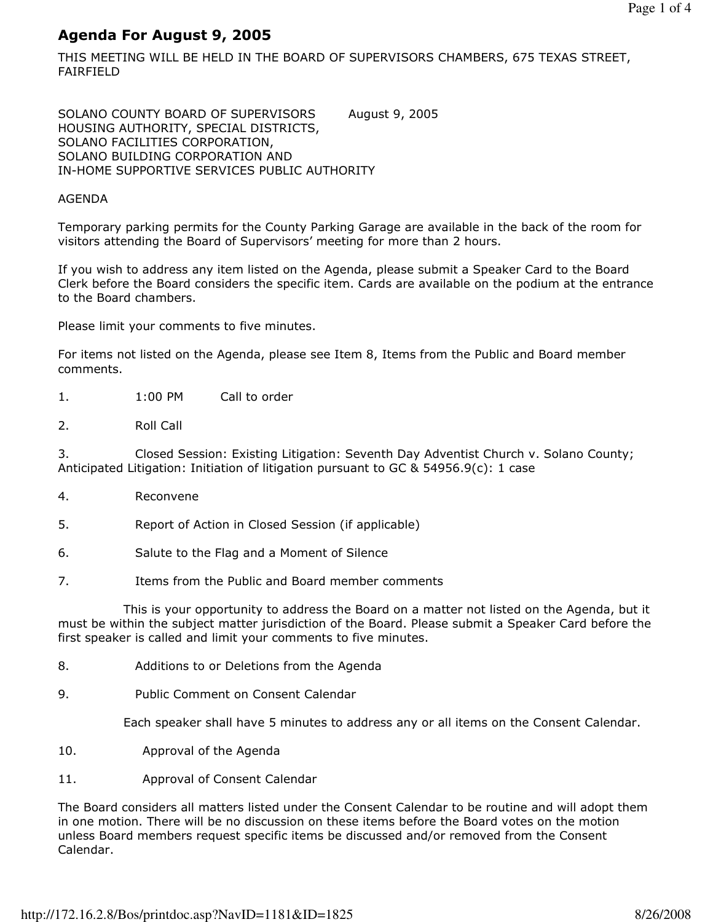# Agenda For August 9, 2005

THIS MEETING WILL BE HELD IN THE BOARD OF SUPERVISORS CHAMBERS, 675 TEXAS STREET, FAIRFIELD

SOLANO COUNTY BOARD OF SUPERVISORS August 9, 2005 HOUSING AUTHORITY, SPECIAL DISTRICTS, SOLANO FACILITIES CORPORATION, SOLANO BUILDING CORPORATION AND IN-HOME SUPPORTIVE SERVICES PUBLIC AUTHORITY

### AGENDA

Temporary parking permits for the County Parking Garage are available in the back of the room for visitors attending the Board of Supervisors' meeting for more than 2 hours.

If you wish to address any item listed on the Agenda, please submit a Speaker Card to the Board Clerk before the Board considers the specific item. Cards are available on the podium at the entrance to the Board chambers.

Please limit your comments to five minutes.

For items not listed on the Agenda, please see Item 8, Items from the Public and Board member comments.

- 1. 1:00 PM Call to order
- 2. Roll Call

3. Closed Session: Existing Litigation: Seventh Day Adventist Church v. Solano County; Anticipated Litigation: Initiation of litigation pursuant to GC & 54956.9(c): 1 case

- 4. Reconvene
- 5. Report of Action in Closed Session (if applicable)
- 6. Salute to the Flag and a Moment of Silence
- 7. Items from the Public and Board member comments

 This is your opportunity to address the Board on a matter not listed on the Agenda, but it must be within the subject matter jurisdiction of the Board. Please submit a Speaker Card before the first speaker is called and limit your comments to five minutes.

- 8. Additions to or Deletions from the Agenda
- 9. Public Comment on Consent Calendar

Each speaker shall have 5 minutes to address any or all items on the Consent Calendar.

- 10. Approval of the Agenda
- 11. Approval of Consent Calendar

The Board considers all matters listed under the Consent Calendar to be routine and will adopt them in one motion. There will be no discussion on these items before the Board votes on the motion unless Board members request specific items be discussed and/or removed from the Consent Calendar.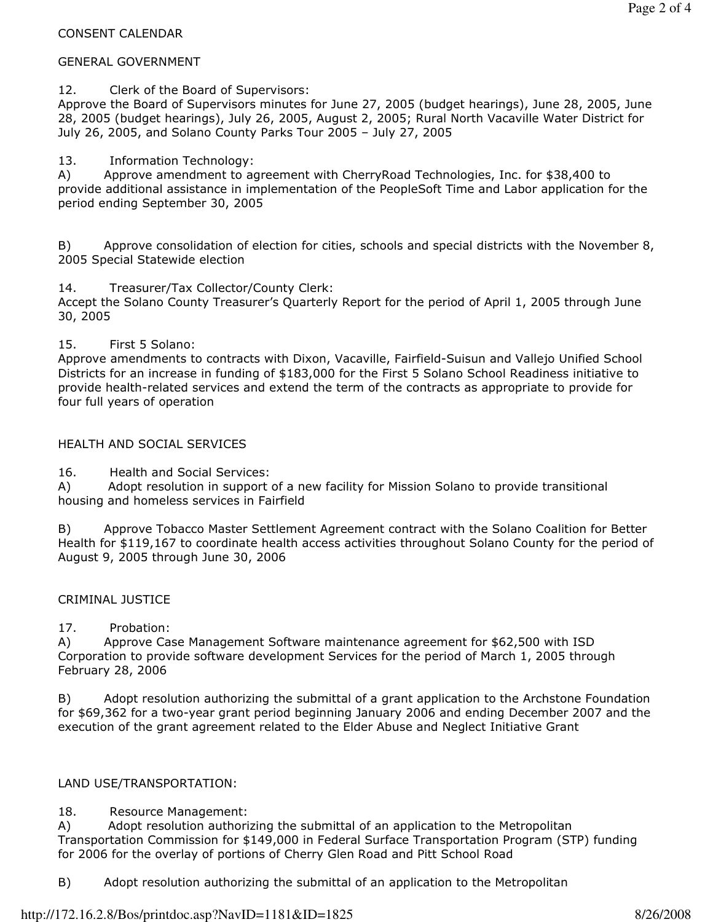### CONSENT CALENDAR

### GENERAL GOVERNMENT

12. Clerk of the Board of Supervisors:

Approve the Board of Supervisors minutes for June 27, 2005 (budget hearings), June 28, 2005, June 28, 2005 (budget hearings), July 26, 2005, August 2, 2005; Rural North Vacaville Water District for July 26, 2005, and Solano County Parks Tour 2005 – July 27, 2005

# 13. Information Technology:

A) Approve amendment to agreement with CherryRoad Technologies, Inc. for \$38,400 to provide additional assistance in implementation of the PeopleSoft Time and Labor application for the period ending September 30, 2005

B) Approve consolidation of election for cities, schools and special districts with the November 8, 2005 Special Statewide election

14. Treasurer/Tax Collector/County Clerk:

Accept the Solano County Treasurer's Quarterly Report for the period of April 1, 2005 through June 30, 2005

15. First 5 Solano:

Approve amendments to contracts with Dixon, Vacaville, Fairfield-Suisun and Vallejo Unified School Districts for an increase in funding of \$183,000 for the First 5 Solano School Readiness initiative to provide health-related services and extend the term of the contracts as appropriate to provide for four full years of operation

### HEALTH AND SOCIAL SERVICES

16. Health and Social Services:

A) Adopt resolution in support of a new facility for Mission Solano to provide transitional housing and homeless services in Fairfield

B) Approve Tobacco Master Settlement Agreement contract with the Solano Coalition for Better Health for \$119,167 to coordinate health access activities throughout Solano County for the period of August 9, 2005 through June 30, 2006

### CRIMINAL JUSTICE

17. Probation:

A) Approve Case Management Software maintenance agreement for \$62,500 with ISD Corporation to provide software development Services for the period of March 1, 2005 through February 28, 2006

B) Adopt resolution authorizing the submittal of a grant application to the Archstone Foundation for \$69,362 for a two-year grant period beginning January 2006 and ending December 2007 and the execution of the grant agreement related to the Elder Abuse and Neglect Initiative Grant

# LAND USE/TRANSPORTATION:

# 18. Resource Management:

A) Adopt resolution authorizing the submittal of an application to the Metropolitan Transportation Commission for \$149,000 in Federal Surface Transportation Program (STP) funding for 2006 for the overlay of portions of Cherry Glen Road and Pitt School Road

B) Adopt resolution authorizing the submittal of an application to the Metropolitan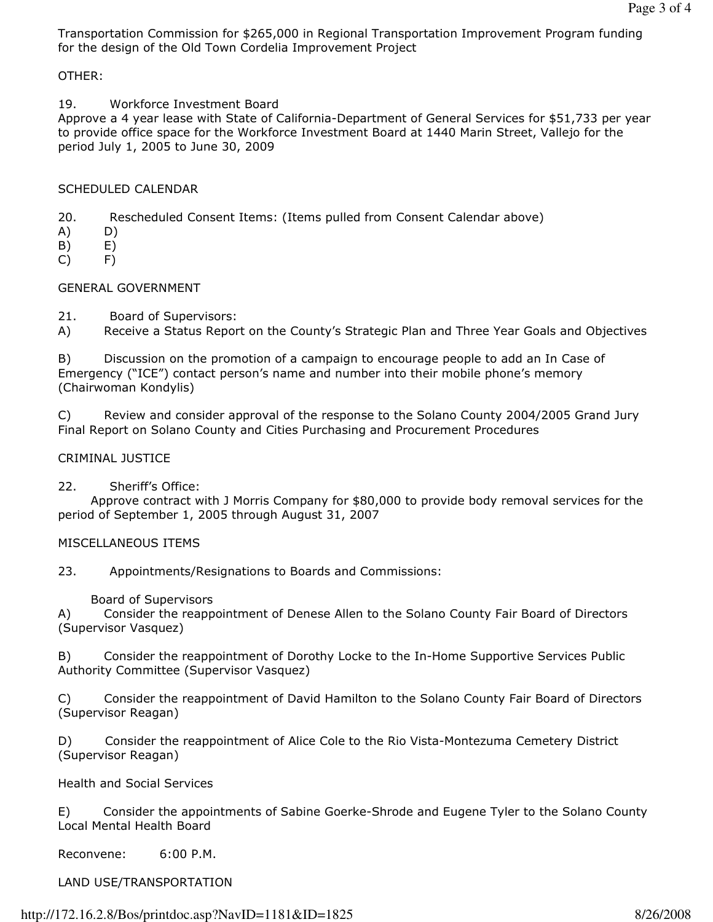Transportation Commission for \$265,000 in Regional Transportation Improvement Program funding for the design of the Old Town Cordelia Improvement Project

# OTHER:

19. Workforce Investment Board

Approve a 4 year lease with State of California-Department of General Services for \$51,733 per year to provide office space for the Workforce Investment Board at 1440 Marin Street, Vallejo for the period July 1, 2005 to June 30, 2009

# SCHEDULED CALENDAR

20. Rescheduled Consent Items: (Items pulled from Consent Calendar above)

- A) D)
- $(B)$   $E)$
- C) F)

# GENERAL GOVERNMENT

21. Board of Supervisors:

A) Receive a Status Report on the County's Strategic Plan and Three Year Goals and Objectives

B) Discussion on the promotion of a campaign to encourage people to add an In Case of Emergency ("ICE") contact person's name and number into their mobile phone's memory (Chairwoman Kondylis)

C) Review and consider approval of the response to the Solano County 2004/2005 Grand Jury Final Report on Solano County and Cities Purchasing and Procurement Procedures

# CRIMINAL JUSTICE

22. Sheriff's Office:

 Approve contract with J Morris Company for \$80,000 to provide body removal services for the period of September 1, 2005 through August 31, 2007

### MISCELLANEOUS ITEMS

23. Appointments/Resignations to Boards and Commissions:

Board of Supervisors

A) Consider the reappointment of Denese Allen to the Solano County Fair Board of Directors (Supervisor Vasquez)

B) Consider the reappointment of Dorothy Locke to the In-Home Supportive Services Public Authority Committee (Supervisor Vasquez)

C) Consider the reappointment of David Hamilton to the Solano County Fair Board of Directors (Supervisor Reagan)

D) Consider the reappointment of Alice Cole to the Rio Vista-Montezuma Cemetery District (Supervisor Reagan)

Health and Social Services

E) Consider the appointments of Sabine Goerke-Shrode and Eugene Tyler to the Solano County Local Mental Health Board

Reconvene: 6:00 P.M.

LAND USE/TRANSPORTATION